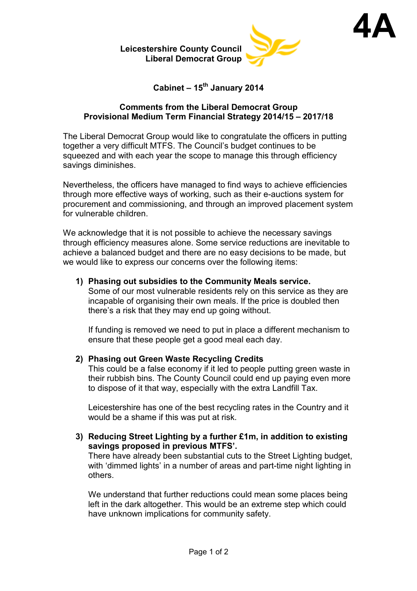



**4A**

**Cabinet – 15th January 2014** 

### **Comments from the Liberal Democrat Group Provisional Medium Term Financial Strategy 2014/15 – 2017/18**

The Liberal Democrat Group would like to congratulate the officers in putting together a very difficult MTFS. The Council's budget continues to be squeezed and with each year the scope to manage this through efficiency savings diminishes.

Nevertheless, the officers have managed to find ways to achieve efficiencies through more effective ways of working, such as their e-auctions system for procurement and commissioning, and through an improved placement system for vulnerable children.

We acknowledge that it is not possible to achieve the necessary savings through efficiency measures alone. Some service reductions are inevitable to achieve a balanced budget and there are no easy decisions to be made, but we would like to express our concerns over the following items:

# **1) Phasing out subsidies to the Community Meals service.**

Some of our most vulnerable residents rely on this service as they are incapable of organising their own meals. If the price is doubled then there's a risk that they may end up going without.

If funding is removed we need to put in place a different mechanism to ensure that these people get a good meal each day.

# **2) Phasing out Green Waste Recycling Credits**

This could be a false economy if it led to people putting green waste in their rubbish bins. The County Council could end up paying even more to dispose of it that way, especially with the extra Landfill Tax.

Leicestershire has one of the best recycling rates in the Country and it would be a shame if this was put at risk.

**3) Reducing Street Lighting by a further £1m, in addition to existing savings proposed in previous MTFS'.**

There have already been substantial cuts to the Street Lighting budget, with 'dimmed lights' in a number of areas and part-time night lighting in others.

We understand that further reductions could mean some places being left in the dark altogether. This would be an extreme step which could have unknown implications for community safety.